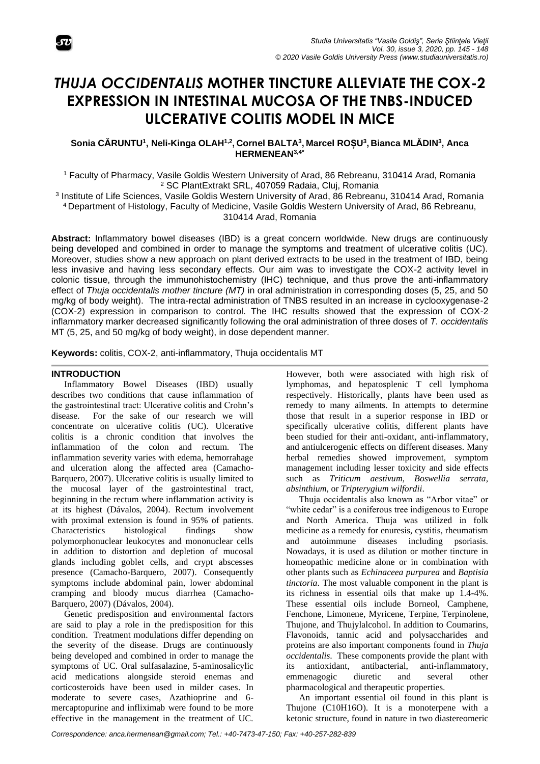

# *THUJA OCCIDENTALIS* **MOTHER TINCTURE ALLEVIATE THE COX-2 EXPRESSION IN INTESTINAL MUCOSA OF THE TNBS-INDUCED ULCERATIVE COLITIS MODEL IN MICE**

**Sonia CĂRUNTU<sup>1</sup> , Neli-Kinga OLAH1,2 , Cornel BALTA<sup>3</sup> , Marcel ROȘU<sup>3</sup> , Bianca MLĂDIN<sup>3</sup> , Anca HERMENEAN3,4\***

<sup>1</sup> Faculty of Pharmacy, Vasile Goldis Western University of Arad, 86 Rebreanu, 310414 Arad, Romania <sup>2</sup> SC PlantExtrakt SRL, 407059 Radaia, Cluj, Romania

3 Institute of Life Sciences, Vasile Goldis Western University of Arad, 86 Rebreanu, 310414 Arad, Romania <sup>4</sup> Department of Histology, Faculty of Medicine, Vasile Goldis Western University of Arad, 86 Rebreanu, 310414 Arad, Romania

**Abstract:** Inflammatory bowel diseases (IBD) is a great concern worldwide. New drugs are continuously being developed and combined in order to manage the symptoms and treatment of ulcerative colitis (UC). Moreover, studies show a new approach on plant derived extracts to be used in the treatment of IBD, being less invasive and having less secondary effects. Our aim was to investigate the COX-2 activity level in colonic tissue, through the immunohistochemistry (IHC) technique, and thus prove the anti-inflammatory effect of *Thuja occidentalis mother tincture (MT)* in oral administration in corresponding doses (5, 25, and 50 mg/kg of body weight). The intra-rectal administration of TNBS resulted in an increase in cyclooxygenase-2 (COX-2) expression in comparison to control. The IHC results showed that the expression of COX-2 inflammatory marker decreased significantly following the oral administration of three doses of *T. occidentalis* MT (5, 25, and 50 mg/kg of body weight), in dose dependent manner.

**Keywords:** colitis, COX-2, anti-inflammatory, Thuja occidentalis MT

## **INTRODUCTION**

Inflammatory Bowel Diseases (IBD) usually describes two conditions that cause inflammation of the gastrointestinal tract: Ulcerative colitis and Crohn's disease. For the sake of our research we will concentrate on ulcerative colitis (UC). Ulcerative colitis is a chronic condition that involves the inflammation of the colon and rectum. The inflammation severity varies with edema, hemorrahage and ulceration along the affected area (Camacho-Barquero, 2007). Ulcerative colitis is usually limited to the mucosal layer of the gastrointestinal tract, beginning in the rectum where inflammation activity is at its highest (Dávalos, 2004). Rectum involvement with proximal extension is found in 95% of patients. Characteristics histological findings show polymorphonuclear leukocytes and mononuclear cells in addition to distortion and depletion of mucosal glands including goblet cells, and crypt abscesses presence (Camacho-Barquero, 2007). Consequently symptoms include abdominal pain, lower abdominal cramping and bloody mucus diarrhea (Camacho-Barquero, 2007) (Dávalos, 2004).

Genetic predisposition and environmental factors are said to play a role in the predisposition for this condition. Treatment modulations differ depending on the severity of the disease. Drugs are continuously being developed and combined in order to manage the symptoms of UC. Oral sulfasalazine, 5-aminosalicylic acid medications alongside steroid enemas and corticosteroids have been used in milder cases. In moderate to severe cases, Azathioprine and 6 mercaptopurine and infliximab were found to be more effective in the management in the treatment of UC.

However, both were associated with high risk of lymphomas, and hepatosplenic T cell lymphoma respectively. Historically, plants have been used as remedy to many ailments. In attempts to determine those that result in a superior response in IBD or specifically ulcerative colitis, different plants have been studied for their anti-oxidant, anti-inflammatory, and antiulcerogenic effects on different diseases. Many herbal remedies showed improvement, symptom management including lesser toxicity and side effects such as *Triticum aestivum, Boswellia serrata, absinthium*, or *Tripterygium wilfordii*.

Thuja occidentalis also known as "Arbor vitae" or "white cedar" is a coniferous tree indigenous to Europe and North America. Thuja was utilized in folk medicine as a remedy for enuresis, cystitis, rheumatism and autoimmune diseases including psoriasis. Nowadays, it is used as dilution or mother tincture in homeopathic medicine alone or in combination with other plants such as *Echinaceea purpurea* and *Baptisia tinctoria*. The most valuable component in the plant is its richness in essential oils that make up 1.4-4%. These essential oils include Borneol, Camphene, Fenchone, Limonene, Myricene, Terpine, Terpinolene, Thujone, and Thujylalcohol. In addition to Coumarins, Flavonoids, tannic acid and polysaccharides and proteins are also important components found in *Thuja occidentalis*. These components provide the plant with its antioxidant, antibacterial, anti-inflammatory, emmenagogic diuretic and several other pharmacological and therapeutic properties.

An important essential oil found in this plant is Thujone (C10H16O). It is a monoterpene with a ketonic structure, found in nature in two diastereomeric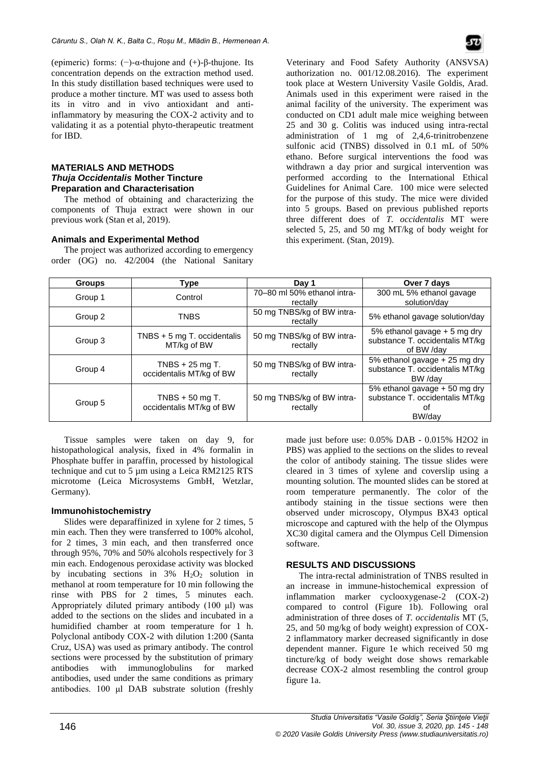(epimeric) forms: (−)-α-thujone and (+)-β-thujone. Its concentration depends on the extraction method used. In this study distillation based techniques were used to produce a mother tincture. MT was used to assess both its in vitro and in vivo antioxidant and antiinflammatory by measuring the COX-2 activity and to validating it as a potential phyto-therapeutic treatment for IBD.

#### **MATERIALS AND METHODS** *Thuja Occidentalis* **Mother Tincture Preparation and Characterisation**

The method of obtaining and characterizing the components of Thuja extract were shown in our previous work (Stan et al, 2019).

## **Animals and Experimental Method**

The project was authorized according to emergency order (OG) no. 42/2004 (the National Sanitary Veterinary and Food Safety Authority (ANSVSA) authorization no. 001/12.08.2016). The experiment took place at Western University Vasile Goldis, Arad. Animals used in this experiment were raised in the animal facility of the university. The experiment was conducted on CD1 adult male mice weighing between 25 and 30 g. Colitis was induced using intra-rectal administration of 1 mg of 2,4,6-trinitrobenzene sulfonic acid (TNBS) dissolved in 0.1 mL of 50% ethano. Before surgical interventions the food was withdrawn a day prior and surgical intervention was performed according to the International Ethical Guidelines for Animal Care. 100 mice were selected for the purpose of this study. The mice were divided into 5 groups. Based on previous published reports three different does of *T. occidentalis* MT were selected 5, 25, and 50 mg MT/kg of body weight for this experiment. (Stan, 2019).

| <b>Groups</b> | Type                                         | Day 1                                   | Over 7 days                                                                      |
|---------------|----------------------------------------------|-----------------------------------------|----------------------------------------------------------------------------------|
| Group 1       | Control                                      | 70-80 ml 50% ethanol intra-<br>rectally | 300 mL 5% ethanol gavage<br>solution/day                                         |
| Group 2       | TNBS                                         | 50 mg TNBS/kg of BW intra-<br>rectally  | 5% ethanol gavage solution/day                                                   |
| Group 3       | TNBS $+ 5$ mg T. occidentalis<br>MT/kg of BW | 50 mg TNBS/kg of BW intra-<br>rectally  | 5% ethanol gavage + 5 mg dry<br>substance T. occidentalis MT/kg<br>of BW /dav    |
| Group 4       | TNBS $+25$ mg T.<br>occidentalis MT/kg of BW | 50 mg TNBS/kg of BW intra-<br>rectally  | 5% ethanol gavage + 25 mg dry<br>substance T. occidentalis MT/kg<br>BW /dav      |
| Group 5       | TNBS $+50$ mg T.<br>occidentalis MT/kg of BW | 50 mg TNBS/kg of BW intra-<br>rectally  | 5% ethanol gavage + 50 mg dry<br>substance T. occidentalis MT/kg<br>Οt<br>BW/dav |

Tissue samples were taken on day 9, for histopathological analysis, fixed in 4% formalin in Phosphate buffer in paraffin, processed by histological technique and cut to 5 µm using a Leica RM2125 RTS microtome (Leica Microsystems GmbH, Wetzlar, Germany).

#### **Immunohistochemistry**

Slides were deparaffinized in xylene for 2 times, 5 min each. Then they were transferred to 100% alcohol, for 2 times, 3 min each, and then transferred once through 95%, 70% and 50% alcohols respectively for 3 min each. Endogenous peroxidase activity was blocked by incubating sections in  $3\%$  H<sub>2</sub>O<sub>2</sub> solution in methanol at room temperature for 10 min following the rinse with PBS for 2 times, 5 minutes each. Appropriately diluted primary antibody (100 μl) was added to the sections on the slides and incubated in a humidified chamber at room temperature for 1 h. Polyclonal antibody COX-2 with dilution 1:200 (Santa Cruz, USA) was used as primary antibody. The control sections were processed by the substitution of primary antibodies with immunoglobulins for marked antibodies, used under the same conditions as primary antibodies. 100 μl DAB substrate solution (freshly

made just before use: 0.05% DAB - 0.015% H2O2 in PBS) was applied to the sections on the slides to reveal the color of antibody staining. The tissue slides were cleared in 3 times of xylene and coverslip using a mounting solution. The mounted slides can be stored at room temperature permanently. The color of the antibody staining in the tissue sections were then observed under microscopy, Olympus BX43 optical microscope and captured with the help of the Olympus XC30 digital camera and the Olympus Cell Dimension software.

#### **RESULTS AND DISCUSSIONS**

The intra-rectal administration of TNBS resulted in an increase in immune-histochemical expression of inflammation marker cyclooxygenase-2 (COX-2) compared to control (Figure 1b). Following oral administration of three doses of *T. occidentalis* MT (5, 25, and 50 mg/kg of body weight) expression of COX-2 inflammatory marker decreased significantly in dose dependent manner. Figure 1e which received 50 mg tincture/kg of body weight dose shows remarkable decrease COX-2 almost resembling the control group figure 1a.

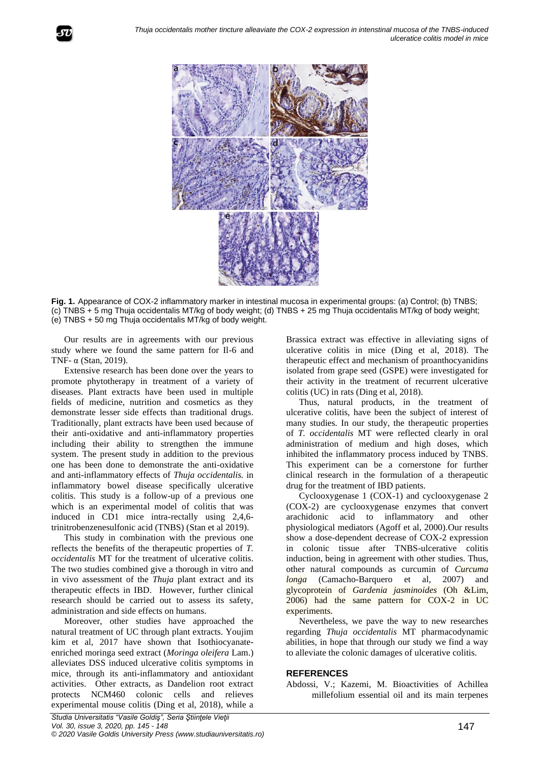

**Fig. 1.** Appearance of COX-2 inflammatory marker in intestinal mucosa in experimental groups: (a) Control; (b) TNBS; (c) TNBS + 5 mg Thuja occidentalis MT/kg of body weight; (d) TNBS + 25 mg Thuja occidentalis MT/kg of body weight; (e) TNBS + 50 mg Thuja occidentalis MT/kg of body weight.

Our results are in agreements with our previous study where we found the same pattern for Il-6 and TNF- $\alpha$  (Stan, 2019).

Extensive research has been done over the years to promote phytotherapy in treatment of a variety of diseases. Plant extracts have been used in multiple fields of medicine, nutrition and cosmetics as they demonstrate lesser side effects than traditional drugs. Traditionally, plant extracts have been used because of their anti-oxidative and anti-inflammatory properties including their ability to strengthen the immune system. The present study in addition to the previous one has been done to demonstrate the anti-oxidative and anti-inflammatory effects of *Thuja occidentalis.* in inflammatory bowel disease specifically ulcerative colitis. This study is a follow-up of a previous one which is an experimental model of colitis that was induced in CD1 mice intra-rectally using 2,4,6 trinitrobenzenesulfonic acid (TNBS) (Stan et al 2019).

This study in combination with the previous one reflects the benefits of the therapeutic properties of *T. occidentalis* MT for the treatment of ulcerative colitis. The two studies combined give a thorough in vitro and in vivo assessment of the *Thuja* plant extract and its therapeutic effects in IBD. However, further clinical research should be carried out to assess its safety, administration and side effects on humans.

Moreover, other studies have approached the natural treatment of UC through plant extracts. Youjim kim et al, 2017 have shown that Isothiocyanateenriched moringa seed extract (*Moringa oleifera* Lam.) alleviates DSS induced ulcerative colitis symptoms in mice, through its anti-inflammatory and antioxidant activities. Other extracts, as Dandelion root extract protects NCM460 colonic cells and relieves experimental mouse colitis (Ding et al, 2018), while a

Brassica extract was effective in alleviating signs of ulcerative colitis in mice (Ding et al, 2018). The therapeutic effect and mechanism of proanthocyanidins isolated from grape seed (GSPE) were investigated for their activity in the treatment of recurrent ulcerative colitis (UC) in rats (Ding et al, 2018).

Thus, natural products, in the treatment of ulcerative colitis, have been the subject of interest of many studies. In our study, the therapeutic properties of *T. occidentalis* MT were reflected clearly in oral administration of medium and high doses, which inhibited the inflammatory process induced by TNBS. This experiment can be a cornerstone for further clinical research in the formulation of a therapeutic drug for the treatment of IBD patients.

Cyclooxygenase 1 (COX-1) and cyclooxygenase 2 (COX-2) are cyclooxygenase enzymes that convert arachidonic acid to inflammatory and other physiological mediators (Agoff et al, 2000).Our results show a dose-dependent decrease of COX-2 expression in colonic tissue after TNBS-ulcerative colitis induction, being in agreement with other studies. Thus, other natural compounds as curcumin of *Curcuma longa* (Camacho-Barquero et al, 2007) and glycoprotein of *Gardenia jasminoides* (Oh &Lim, 2006) had the same pattern for COX-2 in UC experiments.

Nevertheless, we pave the way to new researches regarding *Thuja occidentalis* MT pharmacodynamic abilities, in hope that through our study we find a way to alleviate the colonic damages of ulcerative colitis.

## **REFERENCES**

Abdossi, V.; Kazemi, M. Bioactivities of Achillea millefolium essential oil and its main terpenes